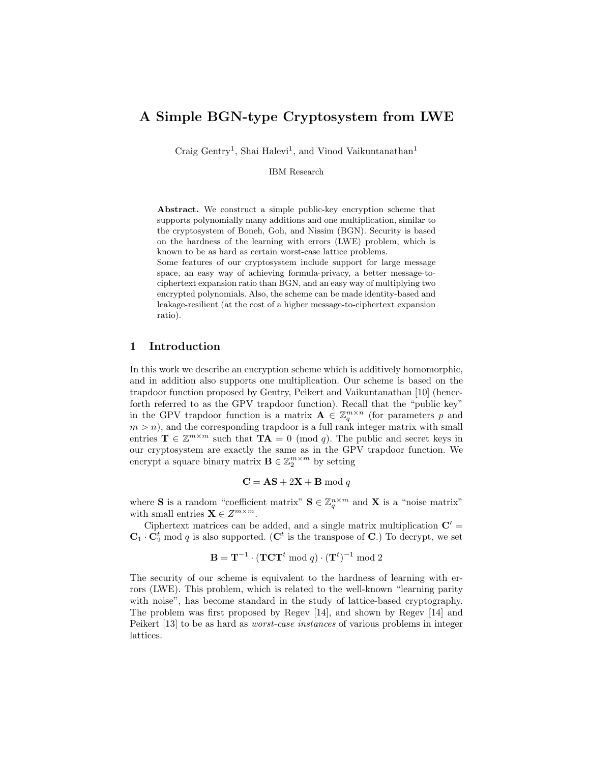# A Simple BGN-type Cryptosystem from LWE

Craig Gentry<sup>1</sup>, Shai Halevi<sup>1</sup>, and Vinod Vaikuntanathan<sup>1</sup>

IBM Research

Abstract. We construct a simple public-key encryption scheme that supports polynomially many additions and one multiplication, similar to the cryptosystem of Boneh, Goh, and Nissim (BGN). Security is based on the hardness of the learning with errors (LWE) problem, which is known to be as hard as certain worst-case lattice problems.

Some features of our cryptosystem include support for large message space, an easy way of achieving formula-privacy, a better message-tociphertext expansion ratio than BGN, and an easy way of multiplying two encrypted polynomials. Also, the scheme can be made identity-based and leakage-resilient (at the cost of a higher message-to-ciphertext expansion ratio).

### 1 Introduction

In this work we describe an encryption scheme which is additively homomorphic, and in addition also supports one multiplication. Our scheme is based on the trapdoor function proposed by Gentry, Peikert and Vaikuntanathan [10] (henceforth referred to as the GPV trapdoor function). Recall that the "public key" in the GPV trapdoor function is a matrix  $\mathbf{A} \in \mathbb{Z}_q^{m \times n}$  (for parameters p and  $m > n$ , and the corresponding trapdoor is a full rank integer matrix with small entries  $\mathbf{T} \in \mathbb{Z}^{m \times m}$  such that  $\mathbf{T} \mathbf{A} = 0 \pmod{q}$ . The public and secret keys in our cryptosystem are exactly the same as in the GPV trapdoor function. We encrypt a square binary matrix  $\mathbf{B} \in \mathbb{Z}_2^{m \times m}$  by setting

$$
C = AS + 2X + B \bmod q
$$

where **S** is a random "coefficient matrix"  $S \in \mathbb{Z}_q^{n \times m}$  and **X** is a "noise matrix" with small entries  $\mathbf{X} \in \mathbb{Z}^{m \times m}$ .

Ciphertext matrices can be added, and a single matrix multiplication  $C' =$  $\mathbf{C}_1 \cdot \mathbf{C}_2^t$  mod q is also supported. ( $\mathbf{C}^t$  is the transpose of C.) To decrypt, we set

$$
\mathbf{B} = \mathbf{T}^{-1} \cdot (\mathbf{T} \mathbf{C} \mathbf{T}^t \bmod q) \cdot (\mathbf{T}^t)^{-1} \bmod 2
$$

The security of our scheme is equivalent to the hardness of learning with errors (LWE). This problem, which is related to the well-known "learning parity with noise", has become standard in the study of lattice-based cryptography. The problem was first proposed by Regev [14], and shown by Regev [14] and Peikert [13] to be as hard as worst-case instances of various problems in integer lattices.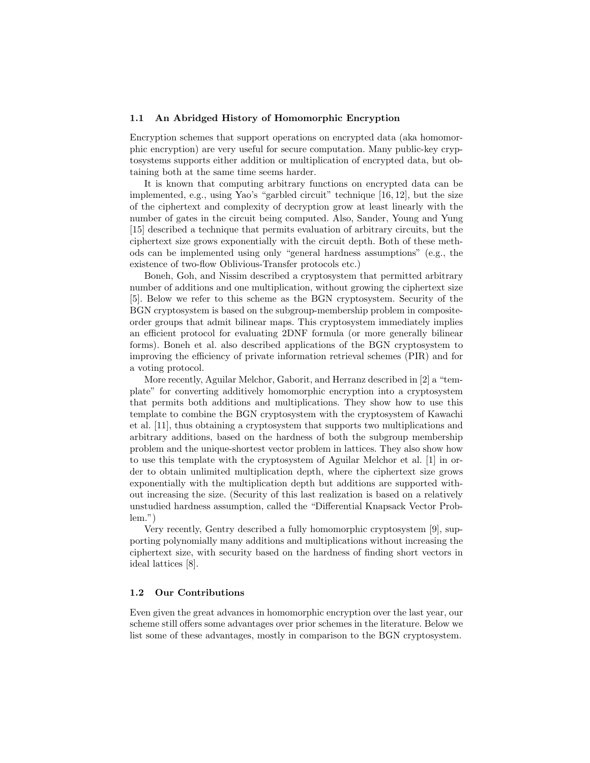### 1.1 An Abridged History of Homomorphic Encryption

Encryption schemes that support operations on encrypted data (aka homomorphic encryption) are very useful for secure computation. Many public-key cryptosystems supports either addition or multiplication of encrypted data, but obtaining both at the same time seems harder.

It is known that computing arbitrary functions on encrypted data can be implemented, e.g., using Yao's "garbled circuit" technique [16, 12], but the size of the ciphertext and complexity of decryption grow at least linearly with the number of gates in the circuit being computed. Also, Sander, Young and Yung [15] described a technique that permits evaluation of arbitrary circuits, but the ciphertext size grows exponentially with the circuit depth. Both of these methods can be implemented using only "general hardness assumptions" (e.g., the existence of two-flow Oblivious-Transfer protocols etc.)

Boneh, Goh, and Nissim described a cryptosystem that permitted arbitrary number of additions and one multiplication, without growing the ciphertext size [5]. Below we refer to this scheme as the BGN cryptosystem. Security of the BGN cryptosystem is based on the subgroup-membership problem in compositeorder groups that admit bilinear maps. This cryptosystem immediately implies an efficient protocol for evaluating 2DNF formula (or more generally bilinear forms). Boneh et al. also described applications of the BGN cryptosystem to improving the efficiency of private information retrieval schemes (PIR) and for a voting protocol.

More recently, Aguilar Melchor, Gaborit, and Herranz described in [2] a "template" for converting additively homomorphic encryption into a cryptosystem that permits both additions and multiplications. They show how to use this template to combine the BGN cryptosystem with the cryptosystem of Kawachi et al. [11], thus obtaining a cryptosystem that supports two multiplications and arbitrary additions, based on the hardness of both the subgroup membership problem and the unique-shortest vector problem in lattices. They also show how to use this template with the cryptosystem of Aguilar Melchor et al. [1] in order to obtain unlimited multiplication depth, where the ciphertext size grows exponentially with the multiplication depth but additions are supported without increasing the size. (Security of this last realization is based on a relatively unstudied hardness assumption, called the "Differential Knapsack Vector Problem.")

Very recently, Gentry described a fully homomorphic cryptosystem [9], supporting polynomially many additions and multiplications without increasing the ciphertext size, with security based on the hardness of finding short vectors in ideal lattices [8].

#### 1.2 Our Contributions

Even given the great advances in homomorphic encryption over the last year, our scheme still offers some advantages over prior schemes in the literature. Below we list some of these advantages, mostly in comparison to the BGN cryptosystem.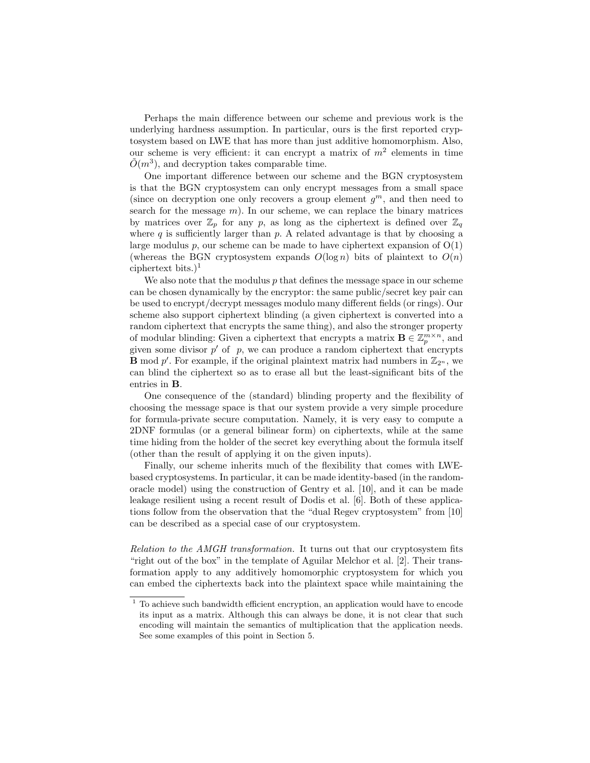Perhaps the main difference between our scheme and previous work is the underlying hardness assumption. In particular, ours is the first reported cryptosystem based on LWE that has more than just additive homomorphism. Also, our scheme is very efficient: it can encrypt a matrix of  $m^2$  elements in time  $\tilde{O}(m^3)$ , and decryption takes comparable time.

One important difference between our scheme and the BGN cryptosystem is that the BGN cryptosystem can only encrypt messages from a small space (since on decryption one only recovers a group element  $g^m$ , and then need to search for the message  $m$ ). In our scheme, we can replace the binary matrices by matrices over  $\mathbb{Z}_p$  for any p, as long as the ciphertext is defined over  $\mathbb{Z}_q$ where  $q$  is sufficiently larger than  $p$ . A related advantage is that by choosing a large modulus p, our scheme can be made to have ciphertext expansion of  $O(1)$ (whereas the BGN cryptosystem expands  $O(\log n)$  bits of plaintext to  $O(n)$ ) ciphertext bits.)<sup>1</sup>

We also note that the modulus  $p$  that defines the message space in our scheme can be chosen dynamically by the encryptor: the same public/secret key pair can be used to encrypt/decrypt messages modulo many different fields (or rings). Our scheme also support ciphertext blinding (a given ciphertext is converted into a random ciphertext that encrypts the same thing), and also the stronger property of modular blinding: Given a ciphertext that encrypts a matrix  $\mathbf{B} \in \mathbb{Z}_p^{m \times n}$ , and given some divisor  $p'$  of  $p$ , we can produce a random ciphertext that encrypts **B** mod p'. For example, if the original plaintext matrix had numbers in  $\mathbb{Z}_{2^n}$ , we can blind the ciphertext so as to erase all but the least-significant bits of the entries in B.

One consequence of the (standard) blinding property and the flexibility of choosing the message space is that our system provide a very simple procedure for formula-private secure computation. Namely, it is very easy to compute a 2DNF formulas (or a general bilinear form) on ciphertexts, while at the same time hiding from the holder of the secret key everything about the formula itself (other than the result of applying it on the given inputs).

Finally, our scheme inherits much of the flexibility that comes with LWEbased cryptosystems. In particular, it can be made identity-based (in the randomoracle model) using the construction of Gentry et al. [10], and it can be made leakage resilient using a recent result of Dodis et al. [6]. Both of these applications follow from the observation that the "dual Regev cryptosystem" from [10] can be described as a special case of our cryptosystem.

Relation to the AMGH transformation. It turns out that our cryptosystem fits "right out of the box" in the template of Aguilar Melchor et al. [2]. Their transformation apply to any additively homomorphic cryptosystem for which you can embed the ciphertexts back into the plaintext space while maintaining the

 $^{\rm 1}$  To achieve such bandwidth efficient encryption, an application would have to encode its input as a matrix. Although this can always be done, it is not clear that such encoding will maintain the semantics of multiplication that the application needs. See some examples of this point in Section 5.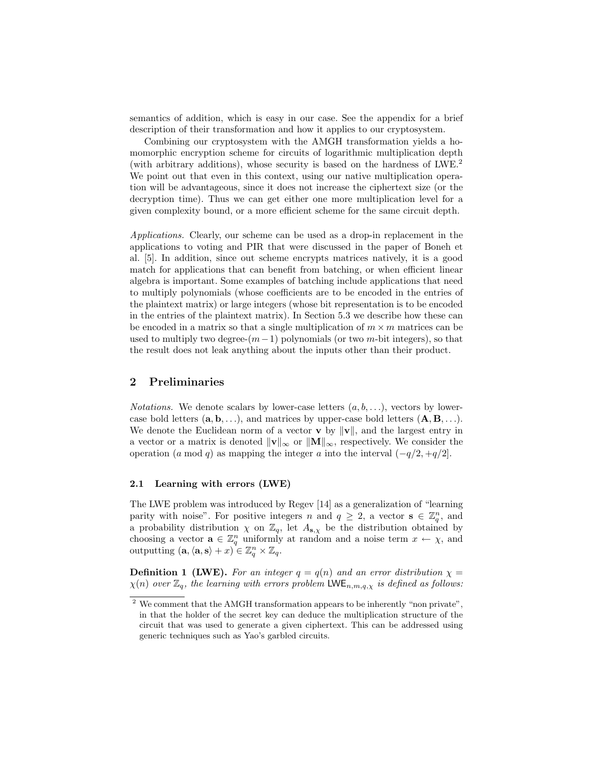semantics of addition, which is easy in our case. See the appendix for a brief description of their transformation and how it applies to our cryptosystem.

Combining our cryptosystem with the AMGH transformation yields a homomorphic encryption scheme for circuits of logarithmic multiplication depth (with arbitrary additions), whose security is based on the hardness of LWE.<sup>2</sup> We point out that even in this context, using our native multiplication operation will be advantageous, since it does not increase the ciphertext size (or the decryption time). Thus we can get either one more multiplication level for a given complexity bound, or a more efficient scheme for the same circuit depth.

Applications. Clearly, our scheme can be used as a drop-in replacement in the applications to voting and PIR that were discussed in the paper of Boneh et al. [5]. In addition, since out scheme encrypts matrices natively, it is a good match for applications that can benefit from batching, or when efficient linear algebra is important. Some examples of batching include applications that need to multiply polynomials (whose coefficients are to be encoded in the entries of the plaintext matrix) or large integers (whose bit representation is to be encoded in the entries of the plaintext matrix). In Section 5.3 we describe how these can be encoded in a matrix so that a single multiplication of  $m \times m$  matrices can be used to multiply two degree- $(m-1)$  polynomials (or two m-bit integers), so that the result does not leak anything about the inputs other than their product.

### 2 Preliminaries

*Notations.* We denote scalars by lower-case letters  $(a, b, \ldots)$ , vectors by lowercase bold letters  $(a, b, \ldots)$ , and matrices by upper-case bold letters  $(A, B, \ldots)$ . We denote the Euclidean norm of a vector  $\bf{v}$  by  $\|\bf{v}\|$ , and the largest entry in a vector or a matrix is denoted  $\|\mathbf{v}\|_{\infty}$  or  $\|\mathbf{M}\|_{\infty}$ , respectively. We consider the operation (a mod q) as mapping the integer a into the interval  $(-q/2, +q/2]$ .

### 2.1 Learning with errors (LWE)

The LWE problem was introduced by Regev [14] as a generalization of "learning parity with noise". For positive integers n and  $q \geq 2$ , a vector  $s \in \mathbb{Z}_q^n$ , and a probability distribution  $\chi$  on  $\mathbb{Z}_q$ , let  $A_{s,\chi}$  be the distribution obtained by choosing a vector  $\mathbf{a} \in \mathbb{Z}_q^n$  uniformly at random and a noise term  $x \leftarrow \chi$ , and outputting  $(\mathbf{a}, \langle \mathbf{a}, \mathbf{s} \rangle + x) \in \mathbb{Z}_q^n \times \mathbb{Z}_q$ .

**Definition 1 (LWE).** For an integer  $q = q(n)$  and an error distribution  $\chi =$  $\chi(n)$  over  $\mathbb{Z}_q$ , the learning with errors problem LWE<sub>n,m,q, $\chi$ </sub> is defined as follows:

<sup>2</sup> We comment that the AMGH transformation appears to be inherently "non private", in that the holder of the secret key can deduce the multiplication structure of the circuit that was used to generate a given ciphertext. This can be addressed using generic techniques such as Yao's garbled circuits.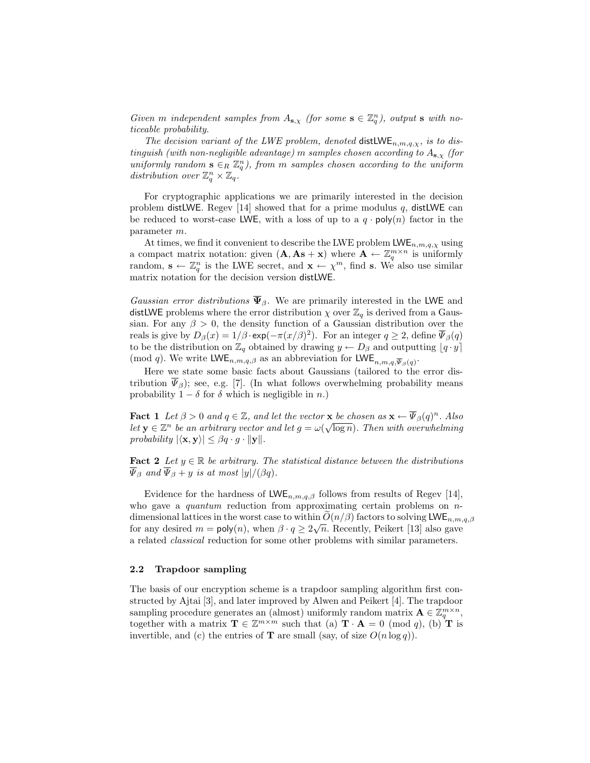Given m independent samples from  $A_{s,x}$  (for some  $s \in \mathbb{Z}_q^n$ ), output s with noticeable probability.

The decision variant of the LWE problem, denoted distLWE<sub>n,m,q, $\chi$ , is to dis-</sub> tinguish (with non-negligible advantage) m samples chosen according to  $A_{s,x}$  (for uniformly random  $\mathbf{s} \in_R \mathbb{Z}_q^n$ , from m samples chosen according to the uniform distribution over  $\mathbb{Z}_q^n \times \mathbb{Z}_q$ .

For cryptographic applications we are primarily interested in the decision problem distLWE. Regev [14] showed that for a prime modulus q, distLWE can be reduced to worst-case LWE, with a loss of up to a  $q \cdot \text{poly}(n)$  factor in the parameter m.

At times, we find it convenient to describe the LWE problem  $LWE_{n,m,q,\chi}$  using a compact matrix notation: given  $(A, As + x)$  where  $A \leftarrow \mathbb{Z}_q^{m \times n}$  is uniformly random,  $\mathbf{s} \leftarrow \mathbb{Z}_q^n$  is the LWE secret, and  $\mathbf{x} \leftarrow \chi^m$ , find s. We also use similar matrix notation for the decision version distLWE.

Gaussian error distributions  $\overline{\Psi}_{\beta}$ . We are primarily interested in the LWE and distLWE problems where the error distribution  $\chi$  over  $\mathbb{Z}_q$  is derived from a Gaussian. For any  $\beta > 0$ , the density function of a Gaussian distribution over the reals is give by  $D_{\beta}(x) = 1/\beta \cdot \exp(-\pi (x/\beta)^2)$ . For an integer  $q \ge 2$ , define  $\overline{\Psi}_{\beta}(q)$ to be the distribution on  $\mathbb{Z}_q$  obtained by drawing  $y \leftarrow D_\beta$  and outputting  $[q \cdot y]$ (mod q). We write  $\mathsf{LWE}_{n,m,q,\beta}$  as an abbreviation for  $\mathsf{LWE}_{n,m,q,\overline{\Psi}_{\beta}(q)}$ .

Here we state some basic facts about Gaussians (tailored to the error distribution  $\Psi_{\beta}$ ); see, e.g. [7]. (In what follows overwhelming probability means probability  $1 - \delta$  for  $\delta$  which is negligible in n.)

**Fact 1** Let  $\beta > 0$  and  $q \in \mathbb{Z}$ , and let the vector **x** be chosen as  $\mathbf{x} \leftarrow \overline{\Psi}_{\beta}(q)^n$ . Also let  $\mathbf{y} \in \mathbb{Z}^n$  be an arbitrary vector and let  $g = \omega(\sqrt{\log n})$ . Then with overwhelming probability  $|\langle \mathbf{x}, \mathbf{y} \rangle| \leq \beta q \cdot g \cdot ||\mathbf{y}||$ .

**Fact 2** Let  $y \in \mathbb{R}$  be arbitrary. The statistical distance between the distributions  $\overline{\Psi}_{\beta}$  and  $\overline{\Psi}_{\beta} + y$  is at most  $|y|/(\beta q)$ .

Evidence for the hardness of  $LWE_{n,m,q,\beta}$  follows from results of Regev [14], who gave a *quantum* reduction from approximating certain problems on  $n$ dimensional lattices in the worst case to within  $O(n/\beta)$  factors to solving LWE<sub>n,m,q, $\beta$ </sub> for any desired  $m = \text{poly}(n)$ , when  $\beta \cdot q \geq 2\sqrt{n}$ . Recently, Peikert [13] also gave a related classical reduction for some other problems with similar parameters.

### 2.2 Trapdoor sampling

The basis of our encryption scheme is a trapdoor sampling algorithm first constructed by Ajtai [3], and later improved by Alwen and Peikert [4]. The trapdoor sampling procedure generates an (almost) uniformly random matrix  $\mathbf{A} \in \mathbb{Z}_q^{m \times n}$ , together with a matrix  $\mathbf{T} \in \mathbb{Z}^{m \times m}$  such that (a)  $\mathbf{T} \cdot \mathbf{A} = 0 \pmod{q}$ , (b)  $\mathbf{T}$  is invertible, and (c) the entries of **T** are small (say, of size  $O(n \log q)$ ).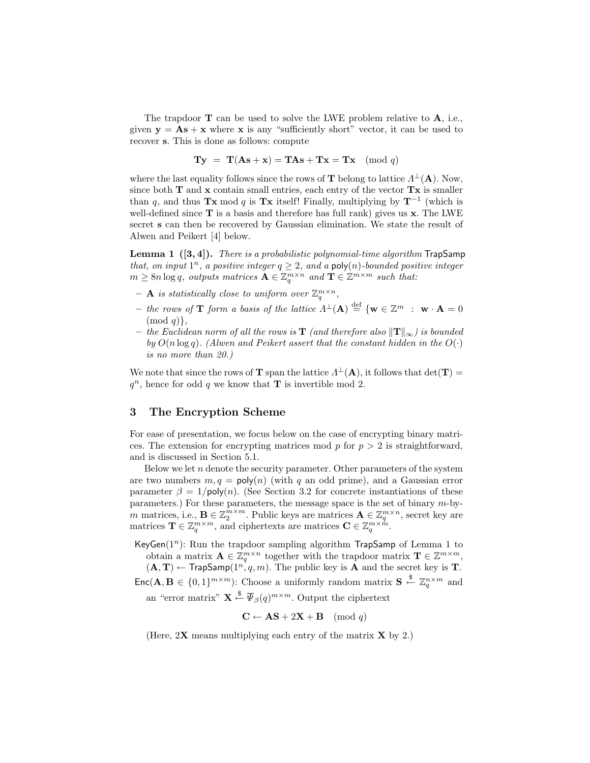The trapdoor  $\mathbf T$  can be used to solve the LWE problem relative to  $\mathbf A$ , i.e., given  $y = As + x$  where x is any "sufficiently short" vector, it can be used to recover s. This is done as follows: compute

$$
Ty = T(As + x) = TAs + Tx = Tx \pmod{q}
$$

where the last equality follows since the rows of **T** belong to lattice  $\Lambda^{\perp}(\mathbf{A})$ . Now, since both  $T$  and  $x$  contain small entries, each entry of the vector  $Tx$  is smaller than q, and thus Tx mod q is Tx itself! Finally, multiplying by  $T^{-1}$  (which is well-defined since  $T$  is a basis and therefore has full rank) gives us  $x$ . The LWE secret s can then be recovered by Gaussian elimination. We state the result of Alwen and Peikert [4] below.

**Lemma 1**  $([3, 4])$ . There is a probabilistic polynomial-time algorithm  $\text{TrapSamp}$ that, on input  $1^n$ , a positive integer  $q \geq 2$ , and a poly(n)-bounded positive integer  $m \geq 8n \log q$ , outputs matrices  $\mathbf{A} \in \mathbb{Z}_q^{m \times n}$  and  $\mathbf{T} \in \mathbb{Z}^{m \times m}$  such that:

- $-$  **A** is statistically close to uniform over  $\mathbb{Z}_q^{m \times n}$ ,
- the rows of **T** form a basis of the lattice  $\Lambda^{\perp}(A) \stackrel{\text{def}}{=} {\{w \in \mathbb{Z}^m : w \cdot A = 0\}}$  $\pmod{q}$ ,
- the Euclidean norm of all the rows is  $\bf{T}$  (and therefore also  $\|\bf{T}\|_{∞}$ ) is bounded by  $O(n \log q)$ . (Alwen and Peikert assert that the constant hidden in the  $O(·)$ ) is no more than 20.)

We note that since the rows of **T** span the lattice  $\Lambda^{\perp}(A)$ , it follows that  $det(\mathbf{T}) =$  $q^n$ , hence for odd q we know that **T** is invertible mod 2.

### 3 The Encryption Scheme

For ease of presentation, we focus below on the case of encrypting binary matrices. The extension for encrypting matrices mod  $p$  for  $p > 2$  is straightforward, and is discussed in Section 5.1.

Below we let  $n$  denote the security parameter. Other parameters of the system are two numbers  $m, q = \text{poly}(n)$  (with q an odd prime), and a Gaussian error parameter  $\beta = 1/\text{poly}(n)$ . (See Section 3.2 for concrete instantiations of these parameters.) For these parameters, the message space is the set of binary m-bym matrices, i.e.,  $\mathbf{B} \in \mathbb{Z}_2^{m \times m}$ . Public keys are matrices  $\mathbf{A} \in \mathbb{Z}_q^{m \times n}$ , secret key are matrices  $\mathbf{T} \in \mathbb{Z}_q^{m \times m}$ , and ciphertexts are matrices  $\mathbf{C} \in \mathbb{Z}_q^{m \times m}$ .

 $\mathsf{KeyGen}(1^n)$ : Run the trapdoor sampling algorithm  $\mathsf{TrapSamp}$  of Lemma 1 to obtain a matrix  $\mathbf{A} \in \mathbb{Z}_q^{m \times n}$  together with the trapdoor matrix  $\mathbf{T} \in \mathbb{Z}^{m \times m}$ ,  $(A, T) \leftarrow$  TrapSamp $(1^n, q, m)$ . The public key is **A** and the secret key is **T**.  $Enc(\mathbf{A}, \mathbf{B} \in \{0,1\}^{m \times m})$ : Choose a uniformly random matrix  $\mathbf{S} \stackrel{\$}{\leftarrow} \mathbb{Z}_q^{n \times m}$  and

an "error matrix"  $\mathbf{X} \stackrel{\$}{\leftarrow} \overline{\Psi}_{\beta}(q)^{m \times m}$ . Output the ciphertext

$$
C \leftarrow AS + 2X + B \pmod{q}
$$

(Here,  $2X$  means multiplying each entry of the matrix  $X$  by 2.)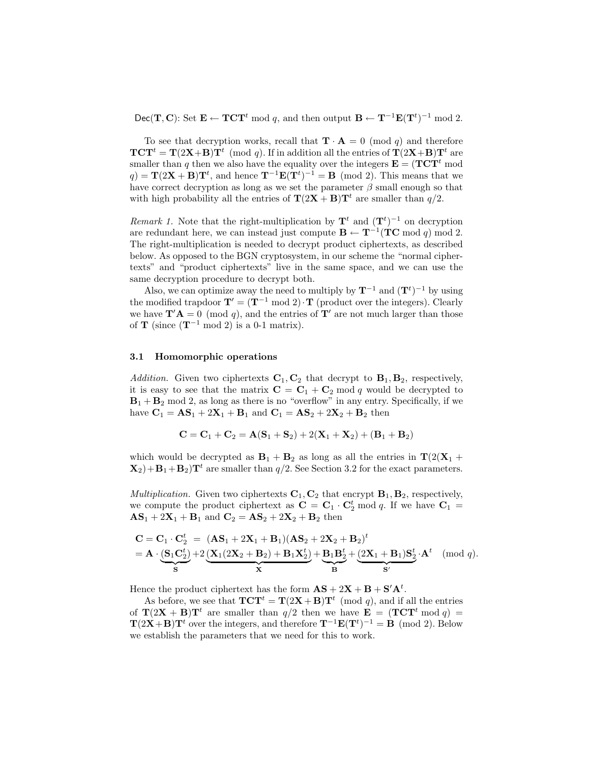Dec(T, C): Set  $\mathbf{E} \leftarrow \mathbf{TCT}^t \mod q$ , and then output  $\mathbf{B} \leftarrow \mathbf{T}^{-1} \mathbf{E}(\mathbf{T}^t)^{-1} \mod 2$ .

To see that decryption works, recall that  $\mathbf{T} \cdot \mathbf{A} = 0 \pmod{q}$  and therefore  $\mathbf{TCT}^t = \mathbf{T}(2\mathbf{X} + \mathbf{B})\mathbf{T}^t$  (mod q). If in addition all the entries of  $\mathbf{T}(2\mathbf{X} + \mathbf{B})\mathbf{T}^t$  are smaller than q then we also have the equality over the integers  $\mathbf{E} = (\mathbf{TCT}^t \text{ mod } t)$  $q) = \mathbf{T}(2\mathbf{X} + \mathbf{B})\mathbf{T}^{t}$ , and hence  $\mathbf{T}^{-1}\mathbf{E}(\mathbf{T}^{t})^{-1} = \mathbf{B} \pmod{2}$ . This means that we have correct decryption as long as we set the parameter  $\beta$  small enough so that with high probability all the entries of  $\mathbf{T}(2\mathbf{X} + \mathbf{B})\mathbf{T}^t$  are smaller than  $q/2$ .

Remark 1. Note that the right-multiplication by  $\mathbf{T}^t$  and  $(\mathbf{T}^t)^{-1}$  on decryption are redundant here, we can instead just compute  $\mathbf{B} \leftarrow \mathbf{T}^{-1}(\mathbf{TC} \bmod q) \bmod 2$ . The right-multiplication is needed to decrypt product ciphertexts, as described below. As opposed to the BGN cryptosystem, in our scheme the "normal ciphertexts" and "product ciphertexts" live in the same space, and we can use the same decryption procedure to decrypt both.

Also, we can optimize away the need to multiply by  $\mathbf{T}^{-1}$  and  $(\mathbf{T}^t)^{-1}$  by using the modified trapdoor  $\mathbf{T}' = (\mathbf{T}^{-1} \mod 2) \cdot \mathbf{T}$  (product over the integers). Clearly we have  $\mathbf{T}'\mathbf{A} = 0 \pmod{q}$ , and the entries of  $\mathbf{T}'$  are not much larger than those of **T** (since  $(T^{-1} \mod 2)$  is a 0-1 matrix).

#### 3.1 Homomorphic operations

Addition. Given two ciphertexts  $C_1, C_2$  that decrypt to  $B_1, B_2$ , respectively, it is easy to see that the matrix  $C = C_1 + C_2 \mod q$  would be decrypted to  $B_1 + B_2 \text{ mod } 2$ , as long as there is no "overflow" in any entry. Specifically, if we have  $C_1 = AS_1 + 2X_1 + B_1$  and  $C_1 = AS_2 + 2X_2 + B_2$  then

$$
C = C_1 + C_2 = A(S_1 + S_2) + 2(X_1 + X_2) + (B_1 + B_2)
$$

which would be decrypted as  $B_1 + B_2$  as long as all the entries in  $T(2(X_1 +$  $\mathbf{X}_2$  +  $\mathbf{B}_1$  +  $\mathbf{B}_2$ ) $\mathbf{T}^t$  are smaller than  $q/2$ . See Section 3.2 for the exact parameters.

*Multiplication.* Given two ciphertexts  $C_1$ ,  $C_2$  that encrypt  $B_1$ ,  $B_2$ , respectively, we compute the product ciphertext as  $C = C_1 \cdot C_2^t \mod q$ . If we have  $C_1 =$  $\mathbf{AS}_1 + 2\mathbf{X}_1 + \mathbf{B}_1$  and  $\mathbf{C}_2 = \mathbf{AS}_2 + 2\mathbf{X}_2 + \mathbf{B}_2$  then

$$
\mathbf{C} = \mathbf{C}_1 \cdot \mathbf{C}_2^t = (\mathbf{A}\mathbf{S}_1 + 2\mathbf{X}_1 + \mathbf{B}_1)(\mathbf{A}\mathbf{S}_2 + 2\mathbf{X}_2 + \mathbf{B}_2)^t \n= \mathbf{A} \cdot \underbrace{(\mathbf{S}_1\mathbf{C}_2^t)}_{\mathbf{S}} + 2\underbrace{(\mathbf{X}_1(2\mathbf{X}_2 + \mathbf{B}_2) + \mathbf{B}_1\mathbf{X}_2^t)}_{\mathbf{X}} + \underbrace{\mathbf{B}_1\mathbf{B}_2^t}_{\mathbf{B}} + \underbrace{(\mathbf{2X}_1 + \mathbf{B}_1)\mathbf{S}_2^t}_{\mathbf{S}'} \cdot \mathbf{A}^t \pmod{q}.
$$

Hence the product ciphertext has the form  $\mathbf{AS} + 2\mathbf{X} + \mathbf{B} + \mathbf{S}'\mathbf{A}^t$ .

As before, we see that  $\mathbf{TCT}^t = \mathbf{T}(2\mathbf{X} + \mathbf{B})\mathbf{T}^t \pmod{q}$ , and if all the entries of  $\mathbf{T}(2\mathbf{X} + \mathbf{B})\mathbf{T}^t$  are smaller than  $q/2$  then we have  $\mathbf{E} = (\mathbf{TCT}^t \mod q) =$  $\mathbf{T}(2\mathbf{X}+\mathbf{B})\mathbf{T}^t$  over the integers, and therefore  $\mathbf{T}^{-1}\mathbf{E}(\mathbf{T}^t)^{-1} = \mathbf{B} \pmod{2}$ . Below we establish the parameters that we need for this to work.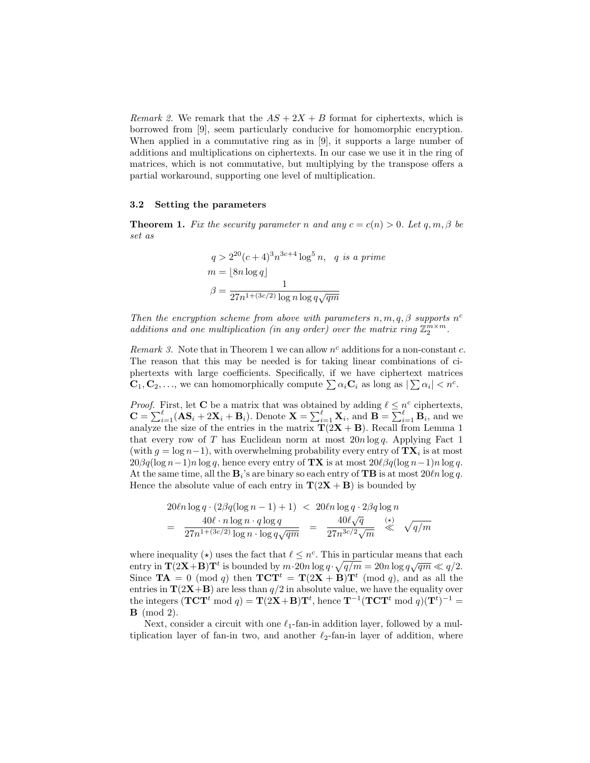Remark 2. We remark that the  $AS + 2X + B$  format for ciphertexts, which is borrowed from [9], seem particularly conducive for homomorphic encryption. When applied in a commutative ring as in [9], it supports a large number of additions and multiplications on ciphertexts. In our case we use it in the ring of matrices, which is not commutative, but multiplying by the transpose offers a partial workaround, supporting one level of multiplication.

### 3.2 Setting the parameters

**Theorem 1.** Fix the security parameter n and any  $c = c(n) > 0$ . Let q, m,  $\beta$  be set as

$$
q > 2^{20}(c+4)^3 n^{3c+4} \log^5 n, \quad q \text{ is a prime}
$$
  
\n
$$
m = \lfloor 8n \log q \rfloor
$$
  
\n
$$
\beta = \frac{1}{27n^{1+(3c/2)} \log n \log q \sqrt{qm}}
$$

Then the encryption scheme from above with parameters  $n, m, q, \beta$  supports  $n^c$ additions and one multiplication (in any order) over the matrix ring  $\mathbb{Z}_2^{m \times m}$ .

Remark 3. Note that in Theorem 1 we can allow  $n^c$  additions for a non-constant c. The reason that this may be needed is for taking linear combinations of ciphertexts with large coefficients. Specifically, if we have ciphertext matrices  $\mathbf{C}_1, \mathbf{C}_2, \ldots$ , we can homomorphically compute  $\sum \alpha_i \mathbf{C}_i$  as long as  $|\sum \alpha_i| < n^c$ .

*Proof.* First, let **C** be a matrix that was obtained by adding  $\ell \leq n^c$  ciphertexts,  $\mathbf{C} = \sum_{i=1}^{\ell} (\mathbf{A}\mathbf{S}_i + 2\mathbf{X}_i + \mathbf{B}_i)$ . Denote  $\mathbf{X} = \sum_{i=1}^{\ell} \mathbf{X}_i$ , and  $\mathbf{B} = \sum_{i=1}^{\ell} \mathbf{B}_i$ , and we analyze the size of the entries in the matrix  $T(2X + B)$ . Recall from Lemma 1 that every row of T has Euclidean norm at most  $20n \log q$ . Applying Fact 1 (with  $g = \log n - 1$ ), with overwhelming probability every entry of  $\mathbf{T} \mathbf{X}_i$  is at most  $20\beta q(\log n-1)n \log q$ , hence every entry of **TX** is at most  $20\ell\beta q(\log n-1)n \log q$ . At the same time, all the  $\mathbf{B}_i$ 's are binary so each entry of **TB** is at most  $20\ell n \log q$ . Hence the absolute value of each entry in  $\mathbf{T}(2\mathbf{X} + \mathbf{B})$  is bounded by

$$
20\ell n \log q \cdot (2\beta q (\log n - 1) + 1) < 20\ell n \log q \cdot 2\beta q \log n
$$
\n
$$
= \frac{40\ell \cdot n \log n \cdot q \log q}{27n^{1 + (3c/2)} \log n \cdot \log q \sqrt{qm}} = \frac{40\ell \sqrt{q}}{27n^{3c/2} \sqrt{m}} \stackrel{(*)}{\ll} \sqrt{q/m}
$$

where inequality ( $\star$ ) uses the fact that  $\ell \leq n^c$ . This in particular means that each where medianty (x) uses the fact that  $t \leq n$ . This in particular means that each entry in  $\mathbf{T}(2\mathbf{X}+\mathbf{B})\mathbf{T}^t$  is bounded by  $m \cdot 20n \log q \cdot \sqrt{q/m} = 20n \log q \sqrt{qm} \ll q/2$ . Since  $\mathbf{TA} = 0 \pmod{q}$  then  $\mathbf{TCT}^t = \mathbf{T}(2\mathbf{X} + \mathbf{B})\mathbf{T}^t \pmod{q}$ , and as all the entries in  $\mathbf{T}(2\mathbf{X}+\mathbf{B})$  are less than  $q/2$  in absolute value, we have the equality over the integers  $(\mathbf{TCT}^t \bmod q) = \mathbf{T}(2\mathbf{X} + \mathbf{B})\mathbf{T}^t$ , hence  $\mathbf{T}^{-1}(\mathbf{TCT}^t \bmod q)(\mathbf{T}^t)^{-1} =$ **B** (mod 2).

Next, consider a circuit with one  $\ell_1$ -fan-in addition layer, followed by a multiplication layer of fan-in two, and another  $\ell_2$ -fan-in layer of addition, where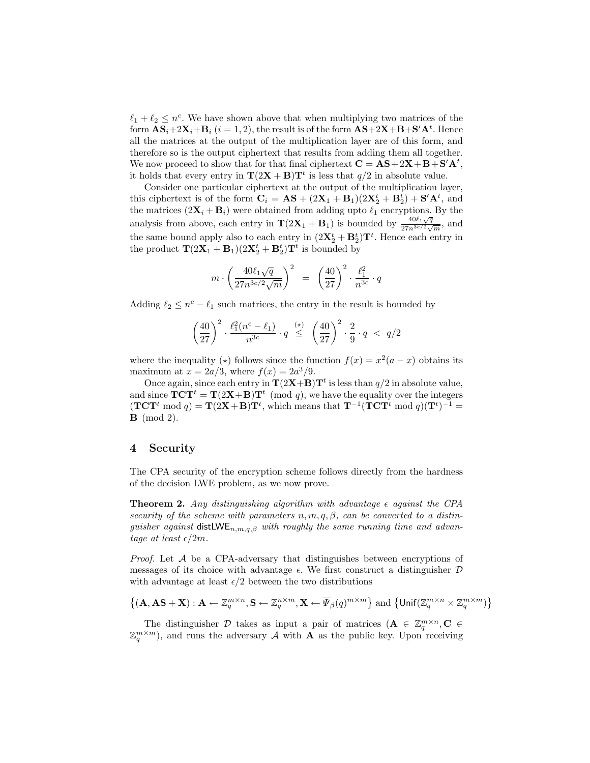$\ell_1 + \ell_2 \leq n^c$ . We have shown above that when multiplying two matrices of the form  $\mathbf{AS}_i + 2\mathbf{X}_i + \mathbf{B}_i$   $(i = 1, 2)$ , the result is of the form  $\mathbf{AS} + 2\mathbf{X} + \mathbf{B} + \mathbf{S}'\mathbf{A}^t$ . Hence all the matrices at the output of the multiplication layer are of this form, and therefore so is the output ciphertext that results from adding them all together. We now proceed to show that for that final ciphertext  $\mathbf{C} = \mathbf{AS} + 2\mathbf{X} + \mathbf{B} + \mathbf{S}'\mathbf{A}^t$ , it holds that every entry in  $\mathbf{T}(2\mathbf{X} + \mathbf{B})\mathbf{T}^t$  is less that  $q/2$  in absolute value.

Consider one particular ciphertext at the output of the multiplication layer, this ciphertext is of the form  $\mathbf{C}_i = \mathbf{AS} + (2\mathbf{X}_1 + \mathbf{B}_1)(2\mathbf{X}_2^t + \mathbf{B}_2^t) + \mathbf{S}'\mathbf{A}^t$ , and the matrices  $(2\mathbf{X}_i + \mathbf{B}_i)$  were obtained from adding upto  $\ell_1$  encryptions. By the analysis from above, each entry in  $\mathbf{T}(2\mathbf{X}_1 + \mathbf{B}_1)$  is bounded by  $\frac{400\sqrt{q}}{27n^3\epsilon/2}$  $\frac{40\ell_1\sqrt{q}}{27n^{3c/2}\sqrt{m}},$  and the same bound apply also to each entry in  $(2\mathbf{X}_2^t + \mathbf{B}_2^t)\mathbf{T}^t$ . Hence each entry in the product  $\mathbf{T}(2\mathbf{X}_1 + \mathbf{B}_1)(2\mathbf{X}_2^t + \mathbf{B}_2^t)\mathbf{T}^t$  is bounded by

$$
m\cdot \left(\frac{40\ell_1\sqrt{q}}{27n^{3c/2}\sqrt{m}}\right)^2\;\;=\;\; \left(\frac{40}{27}\right)^2\cdot \frac{\ell_1^2}{n^{3c}}\cdot q
$$

Adding  $\ell_2 \leq n^c - \ell_1$  such matrices, the entry in the result is bounded by

$$
\left(\frac{40}{27}\right)^2 \cdot \frac{\ell_1^2(n^c - \ell_1)}{n^{3c}} \cdot q \stackrel{(*)}{\leq} \left(\frac{40}{27}\right)^2 \cdot \frac{2}{9} \cdot q \; < \; q/2
$$

where the inequality ( $\star$ ) follows since the function  $f(x) = x^2(a - x)$  obtains its maximum at  $x = 2a/3$ , where  $f(x) = 2a^3/9$ .

Once again, since each entry in  $T(2X+B)T<sup>t</sup>$  is less than  $q/2$  in absolute value, and since  $TCT^t = T(2X+B)T^t \pmod{q}$ , we have the equality over the integers  $(\mathbf{TCT}^t \bmod q) = \mathbf{T}(2\mathbf{X} + \mathbf{B})\mathbf{T}^t$ , which means that  $\mathbf{T}^{-1}(\mathbf{TCT}^t \bmod q)(\mathbf{T}^t)^{-1} =$ B (mod 2).

### 4 Security

The CPA security of the encryption scheme follows directly from the hardness of the decision LWE problem, as we now prove.

**Theorem 2.** Any distinguishing algorithm with advantage  $\epsilon$  against the CPA security of the scheme with parameters  $n, m, q, \beta$ , can be converted to a distinguisher against distLWE<sub>n,m,q,β</sub> with roughly the same running time and advantage at least  $\epsilon/2m$ .

Proof. Let A be a CPA-adversary that distinguishes between encryptions of messages of its choice with advantage  $\epsilon$ . We first construct a distinguisher  $\mathcal D$ with advantage at least  $\epsilon/2$  between the two distributions

$$
\{(\mathbf{A}, \mathbf{AS} + \mathbf{X}) : \mathbf{A} \leftarrow \mathbb{Z}_q^{m \times n}, \mathbf{S} \leftarrow \mathbb{Z}_q^{n \times m}, \mathbf{X} \leftarrow \overline{\Psi}_{\beta}(q)^{m \times m}\} \text{ and } \{ \mathsf{Unif}(\mathbb{Z}_q^{m \times n} \times \mathbb{Z}_q^{m \times m}) \}
$$

The distinguisher D takes as input a pair of matrices  $(A \in \mathbb{Z}_q^{m \times n}, C \in$  $\mathbb{Z}_q^{m \times m}$ ), and runs the adversary A with A as the public key. Upon receiving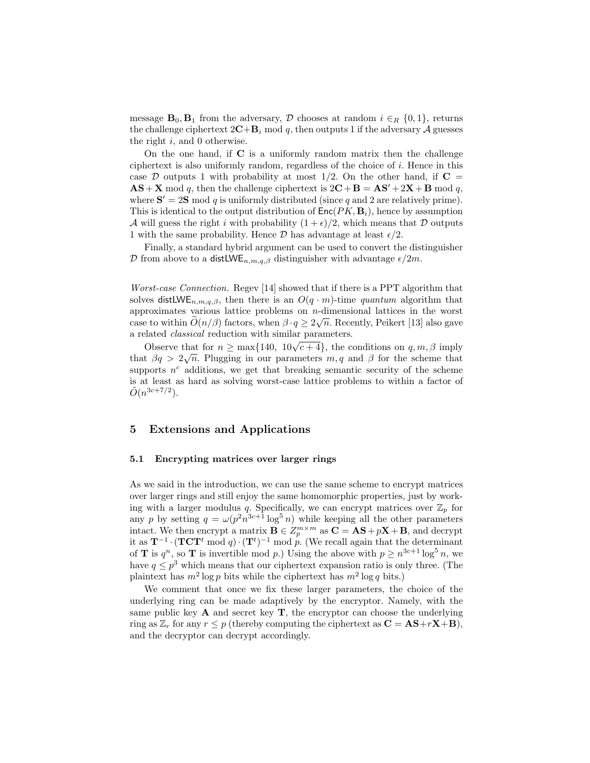message  $\mathbf{B}_0$ ,  $\mathbf{B}_1$  from the adversary, D chooses at random  $i \in_R \{0,1\}$ , returns the challenge ciphertext  $2C+B_i \mod q$ , then outputs 1 if the adversary A guesses the right  $i$ , and 0 otherwise.

On the one hand, if  $C$  is a uniformly random matrix then the challenge ciphertext is also uniformly random, regardless of the choice of i. Hence in this case D outputs 1 with probability at most  $1/2$ . On the other hand, if  $C =$  $\mathbf{AS} + \mathbf{X} \mod q$ , then the challenge ciphertext is  $2\mathbf{C} + \mathbf{B} = \mathbf{AS'} + 2\mathbf{X} + \mathbf{B} \mod q$ , where  $S' = 2S \mod q$  is uniformly distributed (since q and 2 are relatively prime). This is identical to the output distribution of  $Enc(PK, B<sub>i</sub>)$ , hence by assumption A will guess the right i with probability  $(1 + \epsilon)/2$ , which means that D outputs 1 with the same probability. Hence  $\mathcal D$  has advantage at least  $\epsilon/2$ .

Finally, a standard hybrid argument can be used to convert the distinguisher D from above to a distLWE<sub>n,m,q,β</sub> distinguisher with advantage  $\epsilon/2m$ .

Worst-case Connection. Regev [14] showed that if there is a PPT algorithm that solves distLWE<sub>n,m,q,β</sub>, then there is an  $O(q \cdot m)$ -time quantum algorithm that approximates various lattice problems on *n*-dimensional lattices in the worst case to within  $O(n/\beta)$  factors, when  $\beta \cdot q \ge 2\sqrt{n}$ . Recently, Peikert [13] also gave a related classical reduction with similar parameters.

Observe that for  $n \ge \max\{140, 10\sqrt{c+4}\}$ , the conditions on  $q, m, \beta$  imply that  $\beta q > 2\sqrt{n}$ . Plugging in our parameters  $m, q$  and  $\beta$  for the scheme that supports  $n^c$  additions, we get that breaking semantic security of the scheme is at least as hard as solving worst-case lattice problems to within a factor of  $\tilde{O}(n^{3c+7/2})$ .

### 5 Extensions and Applications

#### 5.1 Encrypting matrices over larger rings

As we said in the introduction, we can use the same scheme to encrypt matrices over larger rings and still enjoy the same homomorphic properties, just by working with a larger modulus q. Specifically, we can encrypt matrices over  $\mathbb{Z}_p$  for any p by setting  $q = \omega(p^2 n^{3c+1} \log^5 n)$  while keeping all the other parameters intact. We then encrypt a matrix  $\mathbf{B} \in Z_p^{m \times m}$  as  $\mathbf{C} = \mathbf{A}\mathbf{S} + p\mathbf{X} + \mathbf{B}$ , and decrypt it as  $\mathbf{T}^{-1} \cdot (\mathbf{T} \mathbf{C} \mathbf{T}^t \bmod q) \cdot (\mathbf{T}^t)^{-1} \bmod p$ . (We recall again that the determinant of **T** is  $q^n$ , so **T** is invertible mod p.) Using the above with  $p \geq n^{3c+1} \log^5 n$ , we have  $q \leq p^3$  which means that our ciphertext expansion ratio is only three. (The plaintext has  $m^2 \log p$  bits while the ciphertext has  $m^2 \log q$  bits.)

We comment that once we fix these larger parameters, the choice of the underlying ring can be made adaptively by the encryptor. Namely, with the same public key  $\bf{A}$  and secret key  $\bf{T}$ , the encryptor can choose the underlying ring as  $\mathbb{Z}_r$  for any  $r \leq p$  (thereby computing the ciphertext as  $\mathbf{C} = \mathbf{AS} + r\mathbf{X} + \mathbf{B}$ ), and the decryptor can decrypt accordingly.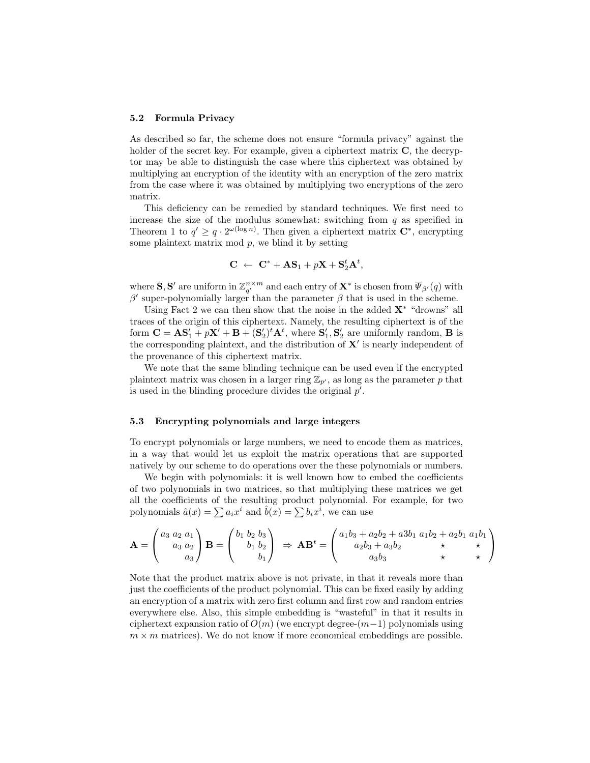#### 5.2 Formula Privacy

As described so far, the scheme does not ensure "formula privacy" against the holder of the secret key. For example, given a ciphertext matrix  $C$ , the decryptor may be able to distinguish the case where this ciphertext was obtained by multiplying an encryption of the identity with an encryption of the zero matrix from the case where it was obtained by multiplying two encryptions of the zero matrix.

This deficiency can be remedied by standard techniques. We first need to increase the size of the modulus somewhat: switching from  $q$  as specified in Theorem 1 to  $q' \geq q \cdot 2^{\omega(\log n)}$ . Then given a ciphertext matrix  $\mathbb{C}^*$ , encrypting some plaintext matrix mod  $p$ , we blind it by setting

$$
\mathbf{C} ~\leftarrow~ \mathbf{C}^* + \mathbf{A}\mathbf{S}_1 + p\mathbf{X} + \mathbf{S}_2^t \mathbf{A}^t,
$$

where **S**, **S'** are uniform in  $\mathbb{Z}_{q'}^{n \times m}$  and each entry of  $\mathbf{X}^*$  is chosen from  $\overline{\Psi}_{\beta'}(q)$  with β' super-polynomially larger than the parameter  $β$  that is used in the scheme.

Using Fact 2 we can then show that the noise in the added  $X^*$  "drowns" all traces of the origin of this ciphertext. Namely, the resulting ciphertext is of the form  $\mathbf{C} = \mathbf{A}\mathbf{S}'_1 + p\mathbf{X}' + \mathbf{B} + (\mathbf{S}'_2)^t \mathbf{A}^t$ , where  $\mathbf{S}'_1, \mathbf{S}'_2$  are uniformly random, **B** is the corresponding plaintext, and the distribution of  $X'$  is nearly independent of the provenance of this ciphertext matrix.

We note that the same blinding technique can be used even if the encrypted plaintext matrix was chosen in a larger ring  $\mathbb{Z}_{p'}$ , as long as the parameter p that is used in the blinding procedure divides the original  $p'$ .

#### 5.3 Encrypting polynomials and large integers

To encrypt polynomials or large numbers, we need to encode them as matrices, in a way that would let us exploit the matrix operations that are supported natively by our scheme to do operations over the these polynomials or numbers.

We begin with polynomials: it is well known how to embed the coefficients of two polynomials in two matrices, so that multiplying these matrices we get all the coefficients of the resulting product polynomial. For example, for two polynomials  $\hat{a}(x) = \sum a_i x^i$  and  $\hat{b}(x) = \sum b_i x^i$ , we can use

$$
\mathbf{A} = \begin{pmatrix} a_3 & a_2 & a_1 \\ a_3 & a_2 & a_2 \\ a_3 & a_3 & a_3 \end{pmatrix} \mathbf{B} = \begin{pmatrix} b_1 & b_2 & b_3 \\ b_1 & b_2 & b_3 \\ b_1 & b_2 & b_3 \end{pmatrix} \Rightarrow \mathbf{A} \mathbf{B}^t = \begin{pmatrix} a_1b_3 + a_2b_2 + a_3b_1 & a_1b_2 + a_2b_1 & a_1b_1 \\ a_2b_3 + a_3b_2 & b_3 & b_3 \\ a_3b_3 & b_3 & b_3 & b_3 \end{pmatrix}
$$

Note that the product matrix above is not private, in that it reveals more than just the coefficients of the product polynomial. This can be fixed easily by adding an encryption of a matrix with zero first column and first row and random entries everywhere else. Also, this simple embedding is "wasteful" in that it results in ciphertext expansion ratio of  $O(m)$  (we encrypt degree- $(m-1)$  polynomials using  $m \times m$  matrices). We do not know if more economical embeddings are possible.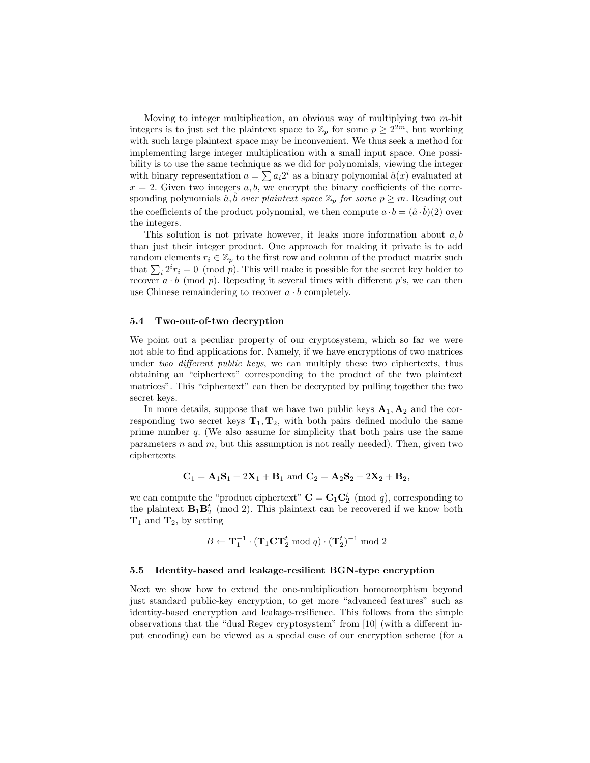Moving to integer multiplication, an obvious way of multiplying two m-bit integers is to just set the plaintext space to  $\mathbb{Z}_p$  for some  $p \geq 2^{2m}$ , but working with such large plaintext space may be inconvenient. We thus seek a method for implementing large integer multiplication with a small input space. One possibility is to use the same technique as we did for polynomials, viewing the integer with binary representation  $a = \sum a_i 2^i$  as a binary polynomial  $\hat{a}(x)$  evaluated at  $x = 2$ . Given two integers a, b, we encrypt the binary coefficients of the corresponding polynomials  $\hat{a}, \hat{b}$  over plaintext space  $\mathbb{Z}_p$  for some  $p \geq m$ . Reading out the coefficients of the product polynomial, we then compute  $a \cdot b = (\hat{a} \cdot \hat{b})(2)$  over the integers.

This solution is not private however, it leaks more information about  $a, b$ than just their integer product. One approach for making it private is to add random elements  $r_i \in \mathbb{Z}_p$  to the first row and column of the product matrix such that  $\sum_i 2^i r_i = 0 \pmod{p}$ . This will make it possible for the secret key holder to recover  $a \cdot b \pmod{p}$ . Repeating it several times with different p's, we can then use Chinese remaindering to recover  $a \cdot b$  completely.

### 5.4 Two-out-of-two decryption

We point out a peculiar property of our cryptosystem, which so far we were not able to find applications for. Namely, if we have encryptions of two matrices under two different public keys, we can multiply these two ciphertexts, thus obtaining an "ciphertext" corresponding to the product of the two plaintext matrices". This "ciphertext" can then be decrypted by pulling together the two secret keys.

In more details, suppose that we have two public keys  $A_1, A_2$  and the corresponding two secret keys  $T_1, T_2$ , with both pairs defined modulo the same prime number q. (We also assume for simplicity that both pairs use the same parameters  $n$  and  $m$ , but this assumption is not really needed). Then, given two ciphertexts

$$
C_1 = A_1S_1 + 2X_1 + B_1
$$
 and  $C_2 = A_2S_2 + 2X_2 + B_2$ ,

we can compute the "product ciphertext"  $\mathbf{C} = \mathbf{C}_1 \mathbf{C}_2^t \pmod{q}$ , corresponding to the plaintext  $B_1B_2^t$  (mod 2). This plaintext can be recovered if we know both  $T_1$  and  $T_2$ , by setting

$$
B \leftarrow \mathbf{T}_1^{-1} \cdot (\mathbf{T}_1 \mathbf{C} \mathbf{T}_2^t \bmod q) \cdot (\mathbf{T}_2^t)^{-1} \bmod 2
$$

#### 5.5 Identity-based and leakage-resilient BGN-type encryption

Next we show how to extend the one-multiplication homomorphism beyond just standard public-key encryption, to get more "advanced features" such as identity-based encryption and leakage-resilience. This follows from the simple observations that the "dual Regev cryptosystem" from [10] (with a different input encoding) can be viewed as a special case of our encryption scheme (for a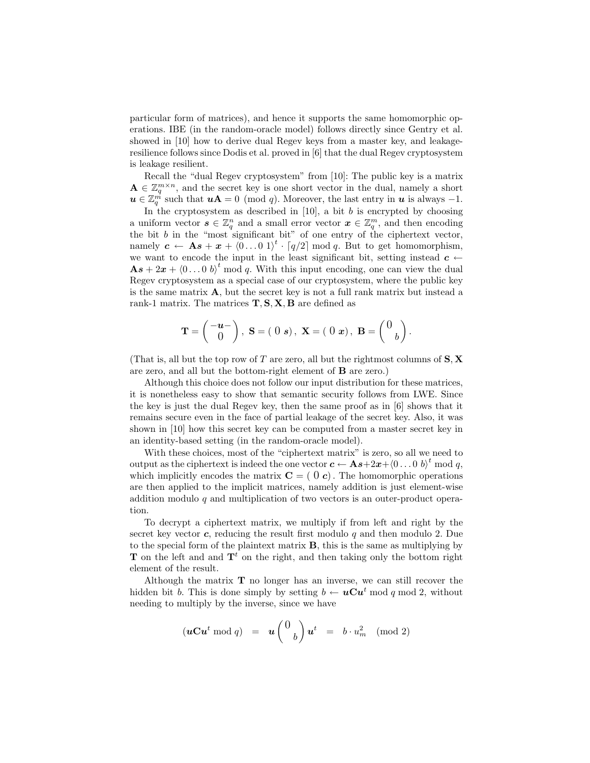particular form of matrices), and hence it supports the same homomorphic operations. IBE (in the random-oracle model) follows directly since Gentry et al. showed in [10] how to derive dual Regev keys from a master key, and leakageresilience follows since Dodis et al. proved in [6] that the dual Regev cryptosystem is leakage resilient.

Recall the "dual Regev cryptosystem" from [10]: The public key is a matrix  $\mathbf{A} \in \mathbb{Z}_q^{m \times n}$ , and the secret key is one short vector in the dual, namely a short  $u \in \mathbb{Z}_q^{\vec{m}}$  such that  $u\mathbf{A} = 0 \pmod{q}$ . Moreover, the last entry in  $u$  is always -1.

In the cryptosystem as described in  $[10]$ , a bit  $b$  is encrypted by choosing a uniform vector  $s \in \mathbb{Z}_q^n$  and a small error vector  $x \in \mathbb{Z}_q^m$ , and then encoding the bit  $b$  in the "most significant bit" of one entry of the ciphertext vector, namely  $\boldsymbol{c} \leftarrow \mathbf{A}\boldsymbol{s} + \boldsymbol{x} + \langle 0 \dots 0 \, 1 \rangle^t \cdot [q/2] \bmod q$ . But to get homomorphism, we want to encode the input in the least significant bit, setting instead  $c \leftarrow$  $\mathbf{A}s + 2x + (0 \dots 0 \, b)^t \mod q$ . With this input encoding, one can view the dual Regev cryptosystem as a special case of our cryptosystem, where the public key is the same matrix  $\mathbf{A}$ , but the secret key is not a full rank matrix but instead a rank-1 matrix. The matrices  $\mathbf{T}, \mathbf{S}, \mathbf{X}, \mathbf{B}$  are defined as

$$
\mathbf{T} = \begin{pmatrix} -\mathbf{u} - \\ 0 \end{pmatrix}, \ \mathbf{S} = (0 \ s), \ \mathbf{X} = (0 \ x), \ \mathbf{B} = \begin{pmatrix} 0 \\ b \end{pmatrix}.
$$

(That is, all but the top row of T are zero, all but the rightmost columns of  $S$ ,  $X$ are zero, and all but the bottom-right element of B are zero.)

Although this choice does not follow our input distribution for these matrices, it is nonetheless easy to show that semantic security follows from LWE. Since the key is just the dual Regev key, then the same proof as in [6] shows that it remains secure even in the face of partial leakage of the secret key. Also, it was shown in [10] how this secret key can be computed from a master secret key in an identity-based setting (in the random-oracle model).

With these choices, most of the "ciphertext matrix" is zero, so all we need to output as the ciphertext is indeed the one vector  $c \leftarrow \mathbf{A}\boldsymbol{s} + 2\boldsymbol{x} + \langle 0 \dots 0 \rangle^t \mod q$ , which implicitly encodes the matrix  $C = (0 c)$ . The homomorphic operations are then applied to the implicit matrices, namely addition is just element-wise addition modulo q and multiplication of two vectors is an outer-product operation.

To decrypt a ciphertext matrix, we multiply if from left and right by the secret key vector  $c$ , reducing the result first modulo q and then modulo 2. Due to the special form of the plaintext matrix B, this is the same as multiplying by **T** on the left and and  $\mathbf{T}^t$  on the right, and then taking only the bottom right element of the result.

Although the matrix  $\mathbf T$  no longer has an inverse, we can still recover the hidden bit b. This is done simply by setting  $b \leftarrow u\mathbf{C}u^t \bmod q \bmod 2$ , without needing to multiply by the inverse, since we have

$$
(\boldsymbol{u}\mathbf{C}\boldsymbol{u}^t \bmod q) \;\; = \;\; \boldsymbol{u}\left(\begin{array}{c} 0 \\ b \end{array}\right) \boldsymbol{u}^t \;\; = \;\; b \cdot u_m^2 \pmod 2
$$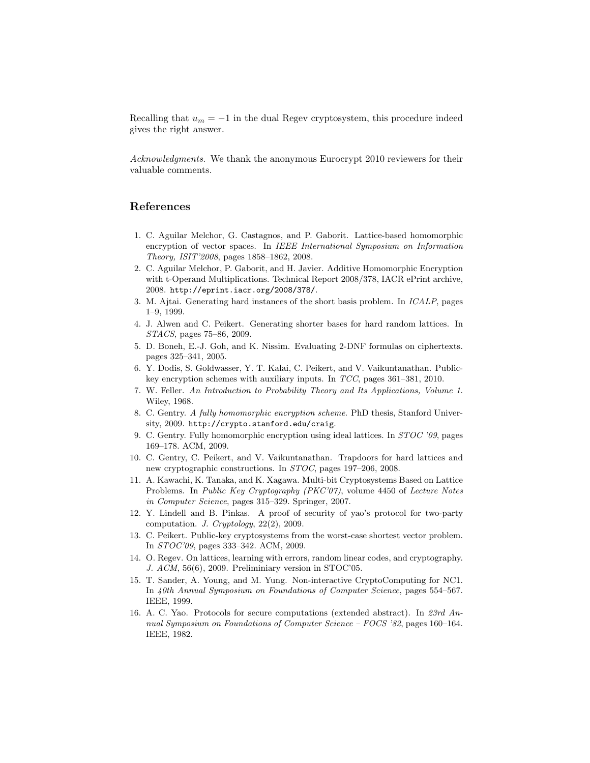Recalling that  $u_m = -1$  in the dual Regev cryptosystem, this procedure indeed gives the right answer.

Acknowledgments. We thank the anonymous Eurocrypt 2010 reviewers for their valuable comments.

## References

- 1. C. Aguilar Melchor, G. Castagnos, and P. Gaborit. Lattice-based homomorphic encryption of vector spaces. In IEEE International Symposium on Information Theory, ISIT'2008, pages 1858–1862, 2008.
- 2. C. Aguilar Melchor, P. Gaborit, and H. Javier. Additive Homomorphic Encryption with t-Operand Multiplications. Technical Report 2008/378, IACR ePrint archive, 2008. http://eprint.iacr.org/2008/378/.
- 3. M. Ajtai. Generating hard instances of the short basis problem. In ICALP, pages 1–9, 1999.
- 4. J. Alwen and C. Peikert. Generating shorter bases for hard random lattices. In STACS, pages 75–86, 2009.
- 5. D. Boneh, E.-J. Goh, and K. Nissim. Evaluating 2-DNF formulas on ciphertexts. pages 325–341, 2005.
- 6. Y. Dodis, S. Goldwasser, Y. T. Kalai, C. Peikert, and V. Vaikuntanathan. Publickey encryption schemes with auxiliary inputs. In TCC, pages 361–381, 2010.
- 7. W. Feller. An Introduction to Probability Theory and Its Applications, Volume 1. Wiley, 1968.
- 8. C. Gentry. A fully homomorphic encryption scheme. PhD thesis, Stanford University, 2009. http://crypto.stanford.edu/craig.
- 9. C. Gentry. Fully homomorphic encryption using ideal lattices. In STOC '09, pages 169–178. ACM, 2009.
- 10. C. Gentry, C. Peikert, and V. Vaikuntanathan. Trapdoors for hard lattices and new cryptographic constructions. In STOC, pages 197–206, 2008.
- 11. A. Kawachi, K. Tanaka, and K. Xagawa. Multi-bit Cryptosystems Based on Lattice Problems. In Public Key Cryptography (PKC'07), volume 4450 of Lecture Notes in Computer Science, pages 315–329. Springer, 2007.
- 12. Y. Lindell and B. Pinkas. A proof of security of yao's protocol for two-party computation. J. Cryptology, 22(2), 2009.
- 13. C. Peikert. Public-key cryptosystems from the worst-case shortest vector problem. In STOC'09, pages 333–342. ACM, 2009.
- 14. O. Regev. On lattices, learning with errors, random linear codes, and cryptography. J. ACM, 56(6), 2009. Preliminiary version in STOC'05.
- 15. T. Sander, A. Young, and M. Yung. Non-interactive CryptoComputing for NC1. In 40th Annual Symposium on Foundations of Computer Science, pages 554–567. IEEE, 1999.
- 16. A. C. Yao. Protocols for secure computations (extended abstract). In 23rd Annual Symposium on Foundations of Computer Science – FOCS '82, pages 160–164. IEEE, 1982.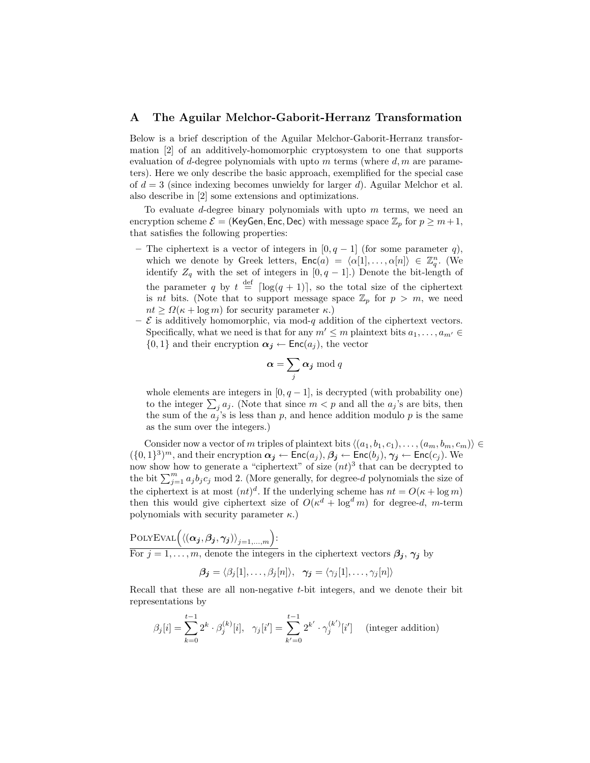### A The Aguilar Melchor-Gaborit-Herranz Transformation

Below is a brief description of the Aguilar Melchor-Gaborit-Herranz transformation [2] of an additively-homomorphic cryptosystem to one that supports evaluation of d-degree polynomials with upto m terms (where  $d, m$  are parameters). Here we only describe the basic approach, exemplified for the special case of  $d = 3$  (since indexing becomes unwieldy for larger d). Aguilar Melchor et al. also describe in [2] some extensions and optimizations.

To evaluate d-degree binary polynomials with upto  $m$  terms, we need an encryption scheme  $\mathcal{E} =$  (KeyGen, Enc, Dec) with message space  $\mathbb{Z}_p$  for  $p \geq m+1$ , that satisfies the following properties:

- The ciphertext is a vector of integers in  $[0, q-1]$  (for some parameter q), which we denote by Greek letters,  $\mathsf{Enc}(a) = \langle \alpha[1], \ldots, \alpha[n] \rangle \in \mathbb{Z}_q^n$ . (We identify  $Z_q$  with the set of integers in [0, q – 1].) Denote the bit-length of the parameter q by  $t \stackrel{\text{def}}{=} \lceil \log(q + 1) \rceil$ , so the total size of the ciphertext is *nt* bits. (Note that to support message space  $\mathbb{Z}_p$  for  $p > m$ , we need  $nt > \Omega(\kappa + \log m)$  for security parameter  $\kappa$ .)
- $\mathcal E$  is additively homomorphic, via mod-q addition of the ciphertext vectors. Specifically, what we need is that for any  $m' \leq m$  plaintext bits  $a_1, \ldots, a_{m'} \in$  $\{0,1\}$  and their encryption  $\alpha_j \leftarrow \text{Enc}(a_j)$ , the vector

$$
\boldsymbol{\alpha} = \sum_j \boldsymbol{\alpha_j} \bmod q
$$

whole elements are integers in  $[0, q-1]$ , is decrypted (with probability one) to the integer  $\sum_j a_j$ . (Note that since  $m < p$  and all the  $a_j$ 's are bits, then the sum of the  $a_j$ 's is less than p, and hence addition modulo p is the same as the sum over the integers.)

Consider now a vector of m triples of plaintext bits  $\langle (a_1, b_1, c_1), \ldots, (a_m, b_m, c_m) \rangle \in$  $(\{0,1\}^3)^m$ , and their encryption  $\alpha_j \leftarrow \mathsf{Enc}(a_j)$ ,  $\beta_j \leftarrow \mathsf{Enc}(b_j)$ ,  $\gamma_j \leftarrow \mathsf{Enc}(c_j)$ . We now show how to generate a "ciphertext" of size  $(nt)^3$  that can be decrypted to the bit  $\sum_{j=1}^{m} a_j b_j c_j$  mod 2. (More generally, for degree-d polynomials the size of the ciphertext is at most  $(nt)^d$ . If the underlying scheme has  $nt = O(\kappa + \log m)$ then this would give ciphertext size of  $O(\kappa^d + \log^d m)$  for degree-d, m-term polynomials with security parameter  $\kappa$ .)

POLYEVAL
$$
\left\langle (\alpha_j, \beta_j, \gamma_j) \right\rangle_{j=1,\dots,m}
$$
:  
For  $j = 1, \dots, m$ , denote the integers in the ciphertext vectors  $\beta_j$ ,  $\gamma_j$  by

$$
\boldsymbol{\beta_j} = \langle \beta_j[1], \ldots, \beta_j[n] \rangle, \quad \boldsymbol{\gamma_j} = \langle \gamma_j[1], \ldots, \gamma_j[n] \rangle
$$

Recall that these are all non-negative t-bit integers, and we denote their bit representations by

$$
\beta_j[i] = \sum_{k=0}^{t-1} 2^k \cdot \beta_j^{(k)}[i], \quad \gamma_j[i'] = \sum_{k'=0}^{t-1} 2^{k'} \cdot \gamma_j^{(k')}[i'] \quad \text{(integer addition)}
$$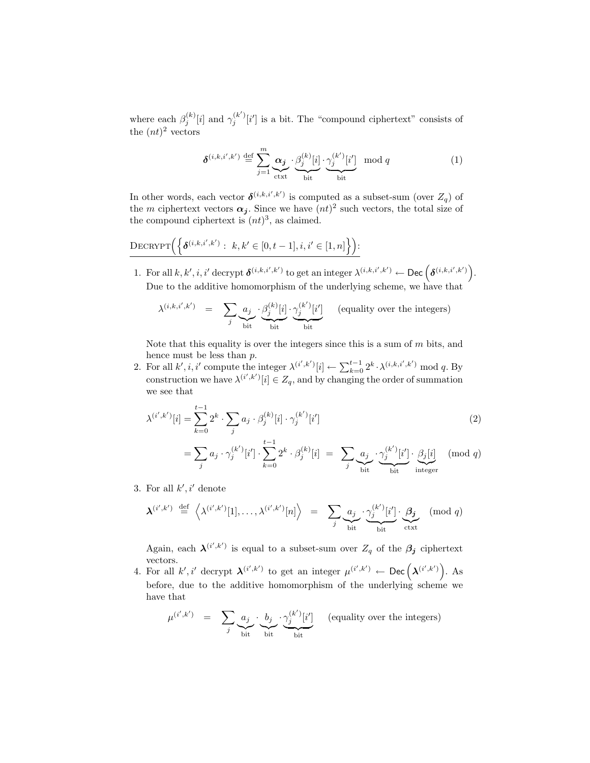where each  $\beta_j^{(k)}[i]$  and  $\gamma_j^{(k')}[i']$  is a bit. The "compound ciphertext" consists of the  $(nt)^2$  vectors

$$
\delta^{(i,k,i',k')} \stackrel{\text{def}}{=} \sum_{j=1}^{m} \underbrace{\alpha_j}_{\text{ctxt}} \cdot \underbrace{\beta_j^{(k)}[i]}_{\text{bit}} \cdot \underbrace{\gamma_j^{(k')}[i']}_{\text{bit}} \mod q \tag{1}
$$

In other words, each vector  $\delta^{(i,k,i',k')}$  is computed as a subset-sum (over  $Z_q$ ) of the m ciphertext vectors  $\alpha_j$ . Since we have  $(nt)^2$  such vectors, the total size of the compound ciphertext is  $(nt)^3$ , as claimed.

$$
\frac{\text{DecryPT}\Big(\Big\{\pmb\delta^{(i,k,i',k')}:\ k,k'\in[0,t-1], i,i'\in[1,n]\Big\}\Big)}{}
$$

1. For all  $k, k', i, i'$  decrypt  $\boldsymbol{\delta}^{(i,k,i',k')}$  to get an integer  $\lambda^{(i,k,i',k')} \leftarrow \text{Dec}\left(\boldsymbol{\delta}^{(i,k,i',k')}\right)$ . Due to the additive homomorphism of the underlying scheme, we have that

$$
\lambda^{(i,k,i',k')} \quad = \quad \sum_{j} \underbrace{a_j}_{\text{bit}} \cdot \underbrace{\beta_j^{(k)}[i]}_{\text{bit}} \cdot \underbrace{\gamma_j^{(k')}[i']}_{\text{bit}} \quad \text{(equality over the integers)}
$$

Note that this equality is over the integers since this is a sum of  $m$  bits, and hence must be less than p.

2. For all  $k', i, i'$  compute the integer  $\lambda^{(i',k')}[i] \leftarrow \sum_{k=0}^{t-1} 2^k \cdot \lambda^{(i,k,i',k')} \mod q$ . By construction we have  $\lambda^{(i',k')}[i] \in Z_q$ , and by changing the order of summation we see that

$$
\lambda^{(i',k')}[i] = \sum_{k=0}^{t-1} 2^k \cdot \sum_j a_j \cdot \beta_j^{(k)}[i] \cdot \gamma_j^{(k')}[i']
$$
\n
$$
= \sum_i a_j \cdot \gamma_j^{(k')}[i'] \cdot \sum_{j=0}^{t-1} 2^k \cdot \beta_j^{(k)}[i] = \sum_i a_j \cdot \gamma_j^{(k')}[i'] \cdot \beta_j[i] \pmod{q}
$$
\n(2)

$$
= \sum_{j} a_j \cdot \gamma_j^{(k)}[i'] \cdot \sum_{k=0} 2^k \cdot \beta_j^{(k)}[i] = \sum_{j} \underbrace{a_j}_{\text{bit}} \cdot \underbrace{\gamma_j^{(k)}[i']}_{\text{bit}} \cdot \underbrace{\beta_j[i]}_{\text{integer}}
$$

3. For all  $k', i'$  denote

$$
\boldsymbol{\lambda}^{(i',k')} \stackrel{\text{def}}{=} \left\langle \lambda^{(i',k')}[1], \ldots, \lambda^{(i',k')}[n] \right\rangle = \sum_j \underbrace{a_j}_{\text{bit}} \cdot \underbrace{\gamma_j^{(k')}[i']}_{\text{bit}} \cdot \underbrace{\beta_j}_{\text{ctxt}} \pmod{q}
$$

Again, each  $\lambda^{(i',k')}$  is equal to a subset-sum over  $Z_q$  of the  $\beta_j$  ciphertext vectors.

4. For all k', i' decrypt  $\boldsymbol{\lambda}^{(i',k')}$  to get an integer  $\mu^{(i',k')}$   $\leftarrow$  Dec  $(\boldsymbol{\lambda}^{(i',k')})$ . As before, due to the additive homomorphism of the underlying scheme we have that

$$
\mu^{(i',k')} = \sum_{j} a_j \cdot \underbrace{b_j}_{\text{bit}} \cdot \underbrace{\gamma_j^{(k')}[i']}_{\text{bit}} \quad \text{(equality over the integers)}
$$